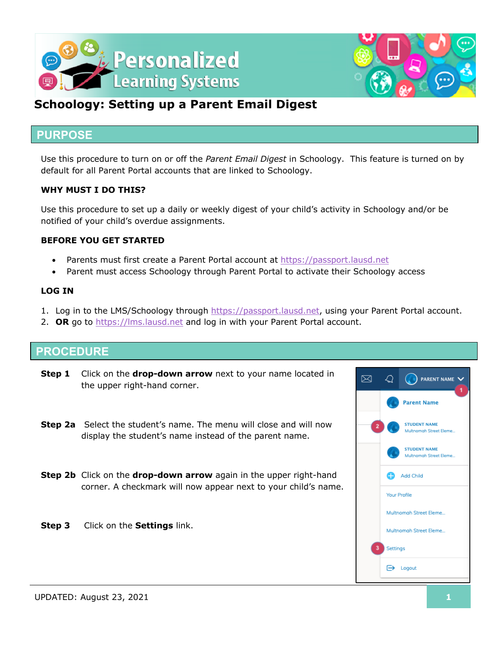



## **Schoology: Setting up a Parent Email Digest**

#### **PURPOSE**

Use this procedure to turn on or off the *Parent Email Digest* in Schoology. This feature is turned on by default for all Parent Portal accounts that are linked to Schoology.

#### **WHY MUST I DO THIS?**

Use this procedure to set up a daily or weekly digest of your child's activity in Schoology and/or be notified of your child's overdue assignments.

#### **BEFORE YOU GET STARTED**

- Parents must first create a Parent Portal account at https://passport.lausd.net
- Parent must access Schoology through Parent Portal to activate their Schoology access

#### **LOG IN**

- 1. Log in to the LMS/Schoology through https://passport.lausd.net, using your Parent Portal account.
- 2. **OR** go to https://lms.lausd.net and log in with your Parent Portal account.

### **PROCEDURE**

- **Step 1** Click on the **drop-down arrow** next to your name located in the upper right-hand corner.
- **Step 2a** Select the student's name. The menu will close and will now display the student's name instead of the parent name.
- **Step 2b** Click on the **drop-down arrow** again in the upper right-hand corner. A checkmark will now appear next to your child's name.
- **Step 3** Click on the **Settings** link.

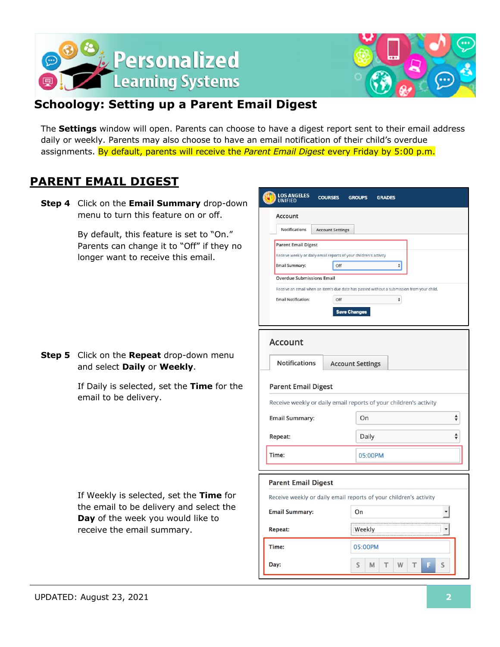



## **Schoology: Setting up a Parent Email Digest**

The **Settings** window will open. Parents can choose to have a digest report sent to their email address daily or weekly. Parents may also choose to have an email notification of their child's overdue assignments. By default, parents will receive the *Parent Email Digest* every Friday by 5:00 p.m.

## **PARENT EMAIL DIGEST**

**Step 4** Click on the **Email Summary** drop-down menu to turn this feature on or off.

> By default, this feature is set to "On." Parents can change it to "Off" if they no longer want to receive this email.

**Step 5** Click on the **Repeat** drop-down menu and select **Daily** or **Weekly**.

> If Daily is selected, set the **Time** for the email to be delivery.

If Weekly is selected, set the **Time** for the email to be delivery and select the **Day** of the week you would like to receive the email summary.

| LOS ANGELES<br>UNIFIED     | <b>COURSES</b>                                                    | <b>GROUPS</b><br><b>GRADES</b>                                                            |  |  |  |
|----------------------------|-------------------------------------------------------------------|-------------------------------------------------------------------------------------------|--|--|--|
| Account                    |                                                                   |                                                                                           |  |  |  |
| <b>Notifications</b>       | <b>Account Settings</b>                                           |                                                                                           |  |  |  |
| <b>Parent Email Digest</b> |                                                                   |                                                                                           |  |  |  |
|                            | Receive weekly or daily email reports of your children's activity |                                                                                           |  |  |  |
| <b>Email Summary:</b>      | ÷۱<br>Off                                                         |                                                                                           |  |  |  |
|                            | <b>Overdue Submissions Email</b>                                  |                                                                                           |  |  |  |
|                            |                                                                   | Receive an email when an item's due date has passed without a submission from your child. |  |  |  |
| <b>Email Notification:</b> | Off                                                               | $\hat{\mathbf{v}}$                                                                        |  |  |  |
|                            | <b>Save Changes</b>                                               |                                                                                           |  |  |  |
|                            |                                                                   |                                                                                           |  |  |  |
| <b>Account</b>             |                                                                   |                                                                                           |  |  |  |
| <b>Notifications</b>       | <b>Account Settings</b>                                           |                                                                                           |  |  |  |
| <b>Parent Email Digest</b> |                                                                   |                                                                                           |  |  |  |
|                            |                                                                   | Receive weekly or daily email reports of your children's activity                         |  |  |  |
| <b>Email Summary:</b>      |                                                                   | On                                                                                        |  |  |  |
| Repeat:                    |                                                                   | Daily                                                                                     |  |  |  |
| Time:                      |                                                                   | 05:00PM                                                                                   |  |  |  |
|                            |                                                                   |                                                                                           |  |  |  |
| <b>Parent Email Digest</b> |                                                                   | Receive weekly or daily email reports of your children's activity                         |  |  |  |
| <b>Email Summary:</b>      |                                                                   | On                                                                                        |  |  |  |
| Repeat:                    |                                                                   | <br>Weekly                                                                                |  |  |  |
| Time:                      |                                                                   | 05:00PM                                                                                   |  |  |  |